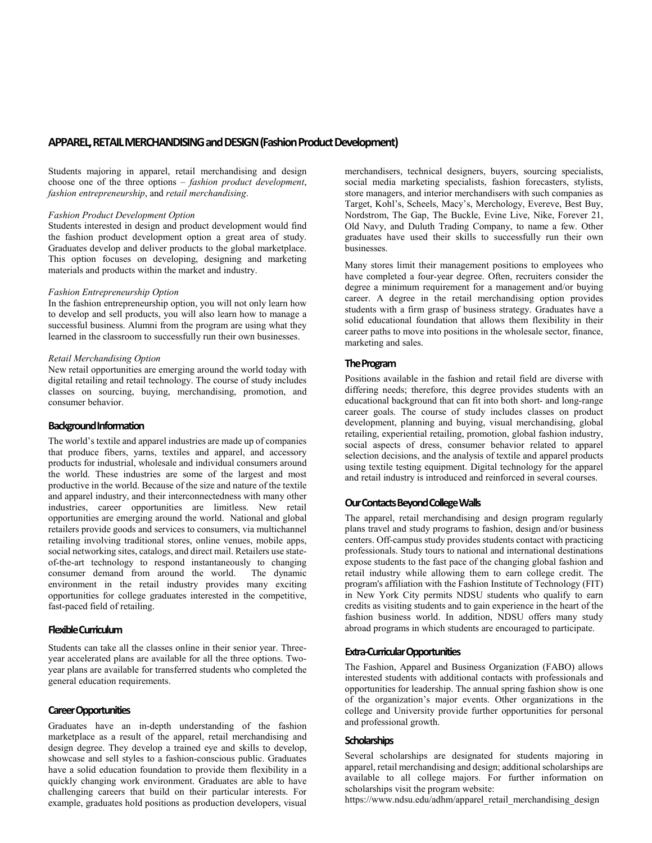# **APPAREL, RETAIL MERCHANDISING and DESIGN(Fashion Product Development)**

Students majoring in apparel, retail merchandising and design choose one of the three options – *fashion product development*, *fashion entrepreneurship*, and *retail merchandising*.

#### *Fashion Product Development Option*

Students interested in design and product development would find the fashion product development option a great area of study. Graduates develop and deliver products to the global marketplace. This option focuses on developing, designing and marketing materials and products within the market and industry.

#### *Fashion Entrepreneurship Option*

In the fashion entrepreneurship option, you will not only learn how to develop and sell products, you will also learn how to manage a successful business. Alumni from the program are using what they learned in the classroom to successfully run their own businesses.

#### *Retail Merchandising Option*

New retail opportunities are emerging around the world today with digital retailing and retail technology. The course of study includes classes on sourcing, buying, merchandising, promotion, and consumer behavior.

# **Background Information**

The world's textile and apparel industries are made up of companies that produce fibers, yarns, textiles and apparel, and accessory products for industrial, wholesale and individual consumers around the world. These industries are some of the largest and most productive in the world. Because of the size and nature of the textile and apparel industry, and their interconnectedness with many other industries, career opportunities are limitless. New retail opportunities are emerging around the world. National and global retailers provide goods and services to consumers, via multichannel retailing involving traditional stores, online venues, mobile apps, social networking sites, catalogs, and direct mail. Retailers use stateof-the-art technology to respond instantaneously to changing consumer demand from around the world. environment in the retail industry provides many exciting opportunities for college graduates interested in the competitive, fast-paced field of retailing.

### **Flexible Curriculum**

Students can take all the classes online in their senior year. Threeyear accelerated plans are available for all the three options. Twoyear plans are available for transferred students who completed the general education requirements.

### **Career Opportunities**

Graduates have an in-depth understanding of the fashion marketplace as a result of the apparel, retail merchandising and design degree. They develop a trained eye and skills to develop, showcase and sell styles to a fashion-conscious public. Graduates have a solid education foundation to provide them flexibility in a quickly changing work environment. Graduates are able to have challenging careers that build on their particular interests. For example, graduates hold positions as production developers, visual

merchandisers, technical designers, buyers, sourcing specialists, social media marketing specialists, fashion forecasters, stylists, store managers, and interior merchandisers with such companies as Target, Kohl's, Scheels, Macy's, Merchology, Evereve, Best Buy, Nordstrom, The Gap, The Buckle, Evine Live, Nike, Forever 21, Old Navy, and Duluth Trading Company, to name a few. Other graduates have used their skills to successfully run their own businesses.

Many stores limit their management positions to employees who have completed a four-year degree. Often, recruiters consider the degree a minimum requirement for a management and/or buying career. A degree in the retail merchandising option provides students with a firm grasp of business strategy. Graduates have a solid educational foundation that allows them flexibility in their career paths to move into positions in the wholesale sector, finance, marketing and sales.

#### **The Program**

Positions available in the fashion and retail field are diverse with differing needs; therefore, this degree provides students with an educational background that can fit into both short- and long-range career goals. The course of study includes classes on product development, planning and buying, visual merchandising, global retailing, experiential retailing, promotion, global fashion industry, social aspects of dress, consumer behavior related to apparel selection decisions, and the analysis of textile and apparel products using textile testing equipment. Digital technology for the apparel and retail industry is introduced and reinforced in several courses.

# **Our Contacts Beyond College Walls**

The apparel, retail merchandising and design program regularly plans travel and study programs to fashion, design and/or business centers. Off-campus study provides students contact with practicing professionals. Study tours to national and international destinations expose students to the fast pace of the changing global fashion and retail industry while allowing them to earn college credit. The program's affiliation with the Fashion Institute of Technology (FIT) in New York City permits NDSU students who qualify to earn credits as visiting students and to gain experience in the heart of the fashion business world. In addition, NDSU offers many study abroad programs in which students are encouraged to participate.

# **Extra-Curricular Opportunities**

The Fashion, Apparel and Business Organization (FABO) allows interested students with additional contacts with professionals and opportunities for leadership. The annual spring fashion show is one of the organization's major events. Other organizations in the college and University provide further opportunities for personal and professional growth.

#### **Scholarships**

Several scholarships are designated for students majoring in apparel, retail merchandising and design; additional scholarships are available to all college majors. For further information on scholarships visit the program website:

https://www.ndsu.edu/adhm/apparel\_retail\_merchandising\_design